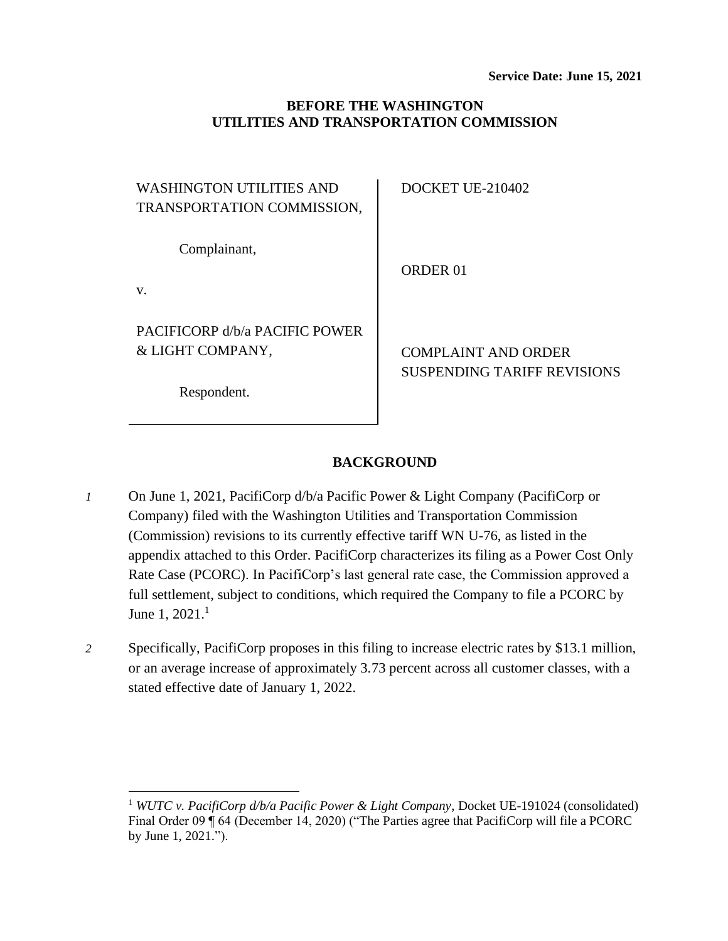## **BEFORE THE WASHINGTON UTILITIES AND TRANSPORTATION COMMISSION**

| WASHINGTON UTILITIES AND<br>TRANSPORTATION COMMISSION,            | DOCKET UE-210402                                                 |
|-------------------------------------------------------------------|------------------------------------------------------------------|
| Complainant,<br>V.                                                | ORDER 01                                                         |
| PACIFICORP d/b/a PACIFIC POWER<br>& LIGHT COMPANY,<br>Respondent. | <b>COMPLAINT AND ORDER</b><br><b>SUSPENDING TARIFF REVISIONS</b> |

## **BACKGROUND**

- *1* On June 1, 2021, PacifiCorp d/b/a Pacific Power & Light Company (PacifiCorp or Company) filed with the Washington Utilities and Transportation Commission (Commission) revisions to its currently effective tariff WN U-76, as listed in the appendix attached to this Order. PacifiCorp characterizes its filing as a Power Cost Only Rate Case (PCORC). In PacifiCorp's last general rate case, the Commission approved a full settlement, subject to conditions, which required the Company to file a PCORC by June 1, 2021.<sup>1</sup>
- *2* Specifically, PacifiCorp proposes in this filing to increase electric rates by \$13.1 million, or an average increase of approximately 3.73 percent across all customer classes, with a stated effective date of January 1, 2022.

<sup>1</sup> *WUTC v. PacifiCorp d/b/a Pacific Power & Light Company*, Docket UE-191024 (consolidated) Final Order 09 ¶ 64 (December 14, 2020) ("The Parties agree that PacifiCorp will file a PCORC by June 1, 2021.").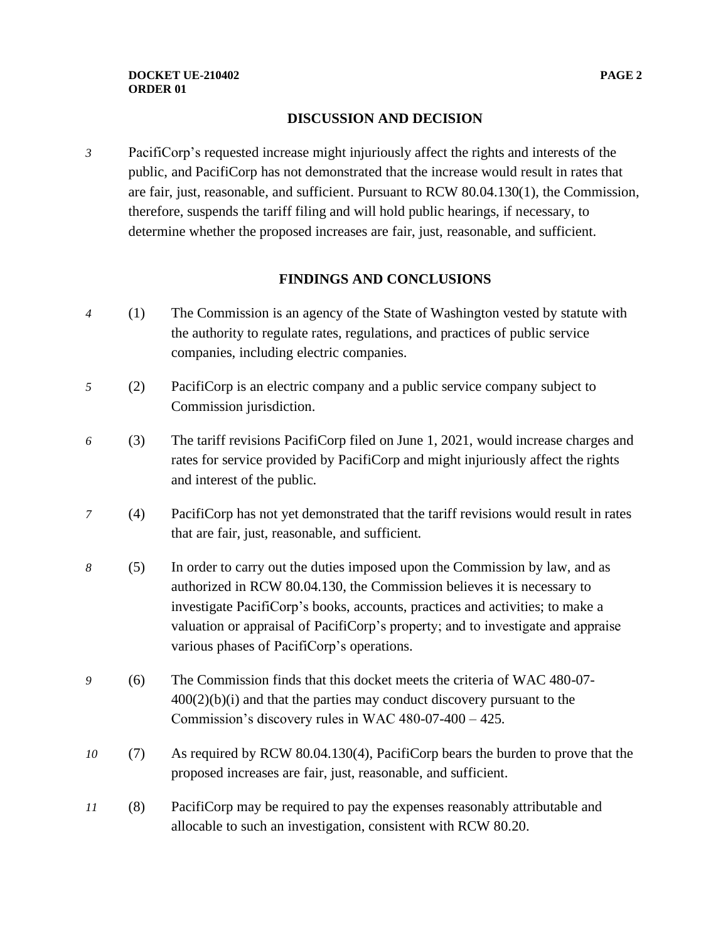## **DISCUSSION AND DECISION**

*3* PacifiCorp's requested increase might injuriously affect the rights and interests of the public, and PacifiCorp has not demonstrated that the increase would result in rates that are fair, just, reasonable, and sufficient. Pursuant to RCW 80.04.130(1), the Commission, therefore, suspends the tariff filing and will hold public hearings, if necessary, to determine whether the proposed increases are fair, just, reasonable, and sufficient.

## **FINDINGS AND CONCLUSIONS**

- *4* (1) The Commission is an agency of the State of Washington vested by statute with the authority to regulate rates, regulations, and practices of public service companies, including electric companies.
- *5* (2) PacifiCorp is an electric company and a public service company subject to Commission jurisdiction.
- *6* (3) The tariff revisions PacifiCorp filed on June 1, 2021, would increase charges and rates for service provided by PacifiCorp and might injuriously affect the rights and interest of the public.
- *7* (4) PacifiCorp has not yet demonstrated that the tariff revisions would result in rates that are fair, just, reasonable, and sufficient.
- *8* (5) In order to carry out the duties imposed upon the Commission by law, and as authorized in RCW 80.04.130, the Commission believes it is necessary to investigate PacifiCorp's books, accounts, practices and activities; to make a valuation or appraisal of PacifiCorp's property; and to investigate and appraise various phases of PacifiCorp's operations.
- *9* (6) The Commission finds that this docket meets the criteria of WAC 480-07-  $400(2)(b)(i)$  and that the parties may conduct discovery pursuant to the Commission's discovery rules in WAC 480-07-400 – 425.
- *10* (7) As required by RCW 80.04.130(4), PacifiCorp bears the burden to prove that the proposed increases are fair, just, reasonable, and sufficient.
- *11* (8) PacifiCorp may be required to pay the expenses reasonably attributable and allocable to such an investigation, consistent with RCW 80.20.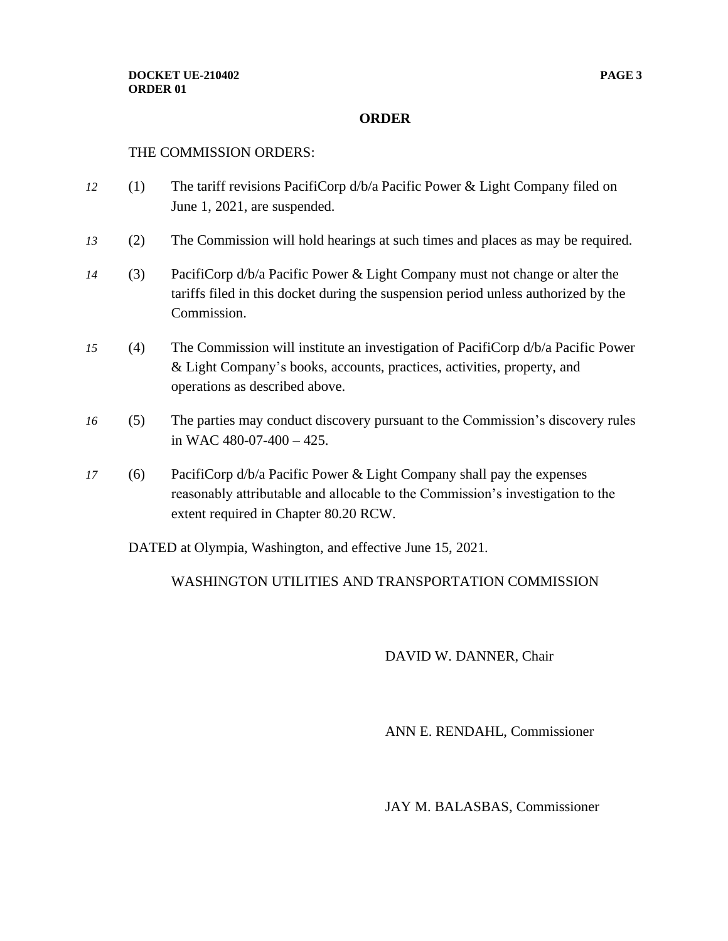#### **ORDER**

#### THE COMMISSION ORDERS:

- *12* (1) The tariff revisions PacifiCorp d/b/a Pacific Power & Light Company filed on June 1, 2021, are suspended.
- *13* (2) The Commission will hold hearings at such times and places as may be required.
- *14* (3) PacifiCorp d/b/a Pacific Power & Light Company must not change or alter the tariffs filed in this docket during the suspension period unless authorized by the Commission.
- *15* (4) The Commission will institute an investigation of PacifiCorp d/b/a Pacific Power & Light Company's books, accounts, practices, activities, property, and operations as described above.
- *16* (5) The parties may conduct discovery pursuant to the Commission's discovery rules in WAC  $480-07-400-425$ .
- *17* (6) PacifiCorp d/b/a Pacific Power & Light Company shall pay the expenses reasonably attributable and allocable to the Commission's investigation to the extent required in Chapter 80.20 RCW.

DATED at Olympia, Washington, and effective June 15, 2021.

## WASHINGTON UTILITIES AND TRANSPORTATION COMMISSION

## DAVID W. DANNER, Chair

ANN E. RENDAHL, Commissioner

JAY M. BALASBAS, Commissioner